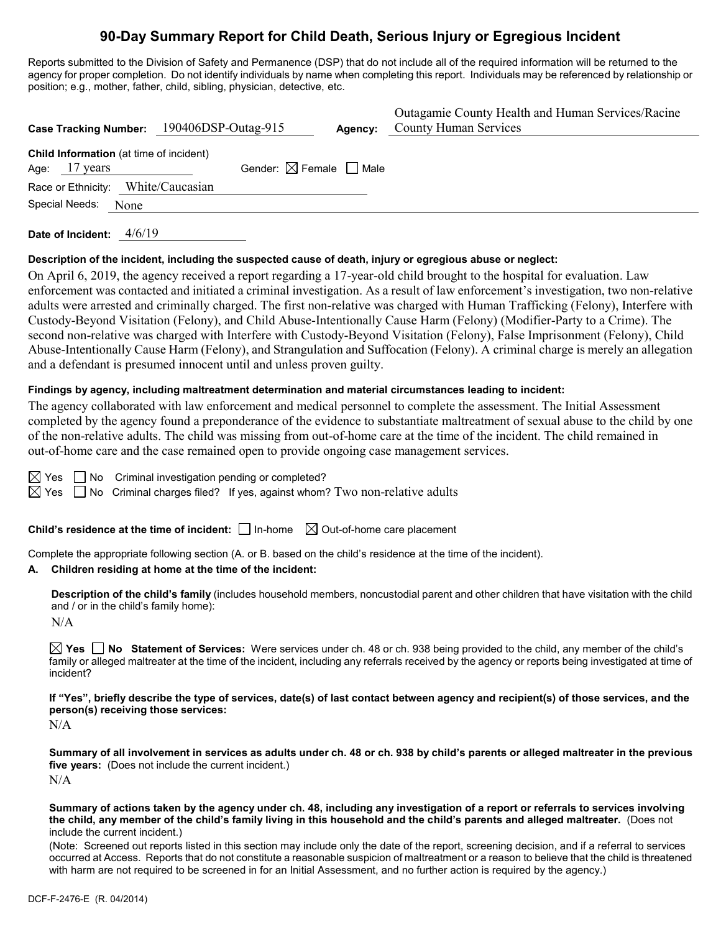# **90-Day Summary Report for Child Death, Serious Injury or Egregious Incident**

Reports submitted to the Division of Safety and Permanence (DSP) that do not include all of the required information will be returned to the agency for proper completion. Do not identify individuals by name when completing this report. Individuals may be referenced by relationship or position; e.g., mother, father, child, sibling, physician, detective, etc.

| Case Tracking Number: 190406DSP-Outag-915                         |                                        | Agency: | Outagamie County Health and Human Services/Racine<br><b>County Human Services</b> |
|-------------------------------------------------------------------|----------------------------------------|---------|-----------------------------------------------------------------------------------|
| <b>Child Information</b> (at time of incident)<br>Age: $17$ years | Gender: $\boxtimes$ Female $\Box$ Male |         |                                                                                   |
| Race or Ethnicity: White/Caucasian                                |                                        |         |                                                                                   |
| Special Needs:<br>None                                            |                                        |         |                                                                                   |

**Date of Incident:** 4/6/19

#### **Description of the incident, including the suspected cause of death, injury or egregious abuse or neglect:**

On April 6, 2019, the agency received a report regarding a 17-year-old child brought to the hospital for evaluation. Law enforcement was contacted and initiated a criminal investigation. As a result of law enforcement's investigation, two non-relative adults were arrested and criminally charged. The first non-relative was charged with Human Trafficking (Felony), Interfere with Custody-Beyond Visitation (Felony), and Child Abuse-Intentionally Cause Harm (Felony) (Modifier-Party to a Crime). The second non-relative was charged with Interfere with Custody-Beyond Visitation (Felony), False Imprisonment (Felony), Child Abuse-Intentionally Cause Harm (Felony), and Strangulation and Suffocation (Felony). A criminal charge is merely an allegation and a defendant is presumed innocent until and unless proven guilty.

#### **Findings by agency, including maltreatment determination and material circumstances leading to incident:**

The agency collaborated with law enforcement and medical personnel to complete the assessment. The Initial Assessment completed by the agency found a preponderance of the evidence to substantiate maltreatment of sexual abuse to the child by one of the non-relative adults. The child was missing from out-of-home care at the time of the incident. The child remained in out-of-home care and the case remained open to provide ongoing case management services.

 $\boxtimes$  Yes  $\Box$  No Criminal investigation pending or completed?

 $\boxtimes$  Yes  $\Box$  No Criminal charges filed? If yes, against whom? Two non-relative adults

**Child's residence at the time of incident:**  $\Box$  In-home  $\Box$  Out-of-home care placement

Complete the appropriate following section (A. or B. based on the child's residence at the time of the incident).

#### **A. Children residing at home at the time of the incident:**

**Description of the child's family** (includes household members, noncustodial parent and other children that have visitation with the child and / or in the child's family home):

 $N/A$ 

**Yes No Statement of Services:** Were services under ch. 48 or ch. 938 being provided to the child, any member of the child's family or alleged maltreater at the time of the incident, including any referrals received by the agency or reports being investigated at time of incident?

**If "Yes", briefly describe the type of services, date(s) of last contact between agency and recipient(s) of those services, and the person(s) receiving those services:**

N/A

**Summary of all involvement in services as adults under ch. 48 or ch. 938 by child's parents or alleged maltreater in the previous five years:** (Does not include the current incident.)  $N/A$ 

**Summary of actions taken by the agency under ch. 48, including any investigation of a report or referrals to services involving the child, any member of the child's family living in this household and the child's parents and alleged maltreater.** (Does not include the current incident.)

(Note: Screened out reports listed in this section may include only the date of the report, screening decision, and if a referral to services occurred at Access. Reports that do not constitute a reasonable suspicion of maltreatment or a reason to believe that the child is threatened with harm are not required to be screened in for an Initial Assessment, and no further action is required by the agency.)